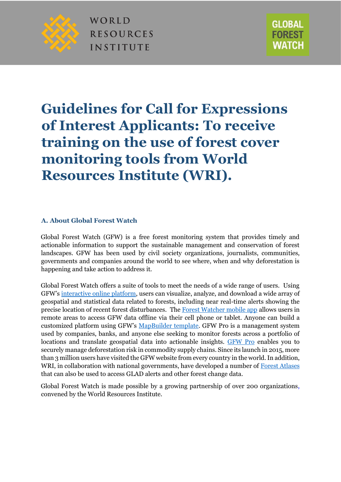

WORLD **RESOURCES INSTITUTE** 



# **Guidelines for Call for Expressions of Interest Applicants: To receive training on the use of forest cover monitoring tools from World Resources Institute (WRI).**

### **A. About Global Forest Watch**

Global Forest Watch (GFW) is a free forest monitoring system that provides timely and actionable information to support the sustainable management and conservation of forest landscapes. GFW has been used by civil society organizations, journalists, communities, governments and companies around the world to see where, when and why deforestation is happening and take action to address it.

Global Forest Watch offers a suite of tools to meet the needs of a wide range of users. Using GFW's [interactive online](https://www.globalforestwatch.org/) [platform,](https://www.globalforestwatch.org/) users can visualize, analyze, and download a wide array of geospatial and statistical data related to forests, including near real-time alerts showing the precise location of recent forest disturbances. Th[e Forest Watcher mobile app](http://forestwatcher.globalforestwatch.org/) allows users in remote areas to access GFW data offline via their cell phone or tablet. Anyone can build a customized platform using GFW'[s](http://www.globalforestwatch.org/howto/tags/map-builder/) [MapBuilder template.](http://www.globalforestwatch.org/howto/tags/map-builder/) GFW Pro is a management system used by companies, banks, and anyone else seeking to monitor forests across a portfolio of locations and translate geospatial data into actionable insights. [GFW Pro](https://pro.globalforestwatch.org/) enables you to securely manage deforestation risk in commodity supply chains. Since its launch in 2015, more than 3 million users have visited the GFW website from every country in the world. In addition, WRI, in collaboration with national governments, have developed a number of [Forest Atlases](https://www.wri.org/our-work/project/forest-atlases) that can also be used to access GLAD alerts and other forest change data.

Global Forest Watch is made possible by a growing partnership of over 200 organizations, convened by the World Resources Institute.